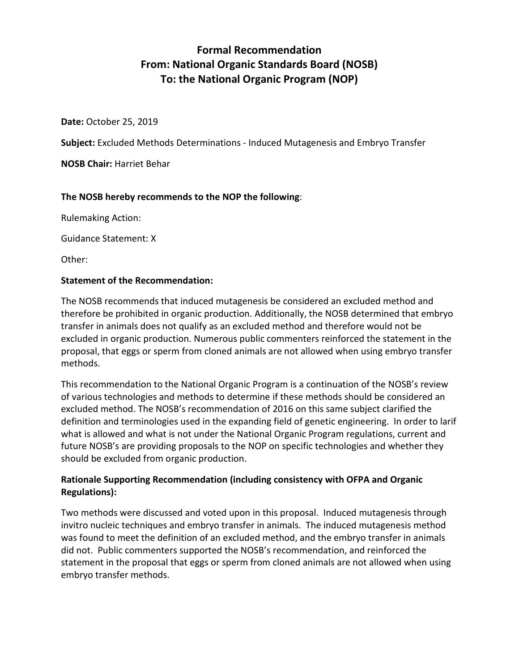# **Formal Recommendation From: National Organic Standards Board (NOSB) To: the National Organic Program (NOP)**

**Date:** October 25, 2019

**Subject:** Excluded Methods Determinations - Induced Mutagenesis and Embryo Transfer

**NOSB Chair:** Harriet Behar

### **The NOSB hereby recommends to the NOP the following**:

Rulemaking Action:

Guidance Statement: X

Other:

#### **Statement of the Recommendation:**

The NOSB recommends that induced mutagenesis be considered an excluded method and therefore be prohibited in organic production. Additionally, the NOSB determined that embryo transfer in animals does not qualify as an excluded method and therefore would not be excluded in organic production. Numerous public commenters reinforced the statement in the proposal, that eggs or sperm from cloned animals are not allowed when using embryo transfer methods.

This recommendation to the National Organic Program is a continuation of the NOSB's review of various technologies and methods to determine if these methods should be considered an excluded method. The NOSB's recommendation of 2016 on this same subject clarified the definition and terminologies used in the expanding field of genetic engineering. In order to larif what is allowed and what is not under the National Organic Program regulations, current and future NOSB's are providing proposals to the NOP on specific technologies and whether they should be excluded from organic production.

## **Rationale Supporting Recommendation (including consistency with OFPA and Organic Regulations):**

Two methods were discussed and voted upon in this proposal. Induced mutagenesis through invitro nucleic techniques and embryo transfer in animals. The induced mutagenesis method was found to meet the definition of an excluded method, and the embryo transfer in animals did not. Public commenters supported the NOSB's recommendation, and reinforced the statement in the proposal that eggs or sperm from cloned animals are not allowed when using embryo transfer methods.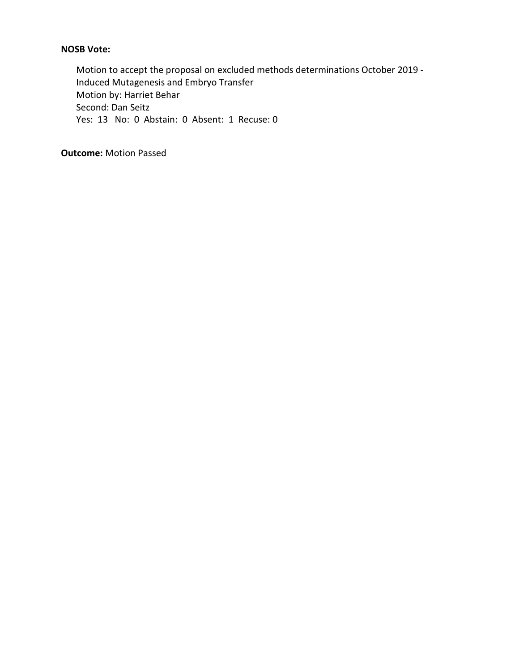## **NOSB Vote:**

Motion to accept the proposal on excluded methods determinations October 2019 - Induced Mutagenesis and Embryo Transfer Motion by: Harriet Behar Second: Dan Seitz Yes: 13 No: 0 Abstain: 0 Absent: 1 Recuse: 0

**Outcome:** Motion Passed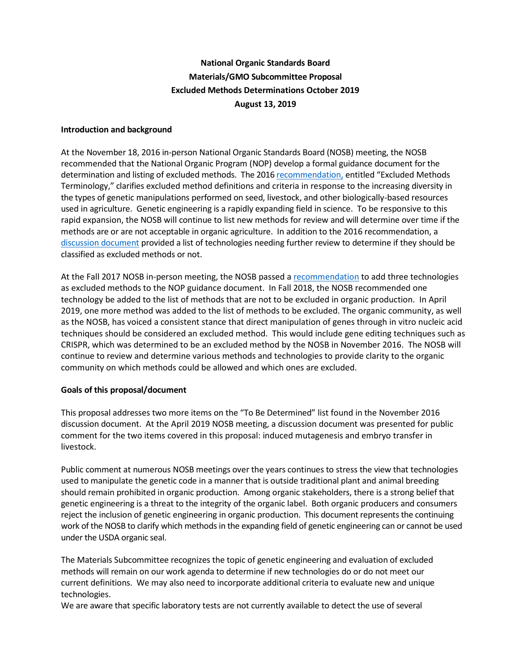## **National Organic Standards Board Materials/GMO Subcommittee Proposal Excluded Methods Determinations October 2019 August 13, 2019**

#### **Introduction and background**

At the November 18, 2016 in-person National Organic Standards Board (NOSB) meeting, the NOSB recommended that the National Organic Program (NOP) develop a formal guidance document for the determination and listing of excluded methods. The 201[6 recommendation,](https://www.ams.usda.gov/sites/default/files/media/MSExcludedMethods.pdf) entitled "Excluded Methods Terminology," clarifies excluded method definitions and criteria in response to the increasing diversity in the types of genetic manipulations performed on seed, livestock, and other biologically-based resources used in agriculture. Genetic engineering is a rapidly expanding field in science. To be responsive to this rapid expansion, the NOSB will continue to list new methods for review and will determine over time if the methods are or are not acceptable in organic agriculture. In addition to the 2016 recommendation, a [discussion document](https://www.ams.usda.gov/sites/default/files/media/MSExcludedMethodsDiscussionDocumentNov2016.pdf) provided a list of technologies needing further review to determine if they should be classified as excluded methods or not.

At the Fall 2017 NOSB in-person meeting, the NOSB passed a [recommendation](https://www.ams.usda.gov/sites/default/files/media/MSExcludedMethodsFinalRec.pdf) to add three technologies as excluded methods to the NOP guidance document. In Fall 2018, the NOSB recommended one technology be added to the list of methods that are not to be excluded in organic production. In April 2019, one more method was added to the list of methods to be excluded. The organic community, as well as the NOSB, has voiced a consistent stance that direct manipulation of genes through in vitro nucleic acid techniques should be considered an excluded method. This would include gene editing techniques such as CRISPR, which was determined to be an excluded method by the NOSB in November 2016. The NOSB will continue to review and determine various methods and technologies to provide clarity to the organic community on which methods could be allowed and which ones are excluded.

#### **Goals of this proposal/document**

This proposal addresses two more items on the "To Be Determined" list found in the November 2016 discussion document. At the April 2019 NOSB meeting, a discussion document was presented for public comment for the two items covered in this proposal: induced mutagenesis and embryo transfer in livestock.

Public comment at numerous NOSB meetings over the years continues to stress the view that technologies used to manipulate the genetic code in a manner that is outside traditional plant and animal breeding should remain prohibited in organic production. Among organic stakeholders, there is a strong belief that genetic engineering is a threat to the integrity of the organic label. Both organic producers and consumers reject the inclusion of genetic engineering in organic production. This document represents the continuing work of the NOSB to clarify which methods in the expanding field of genetic engineering can or cannot be used under the USDA organic seal.

The Materials Subcommittee recognizes the topic of genetic engineering and evaluation of excluded methods will remain on our work agenda to determine if new technologies do or do not meet our current definitions. We may also need to incorporate additional criteria to evaluate new and unique technologies.

We are aware that specific laboratory tests are not currently available to detect the use of several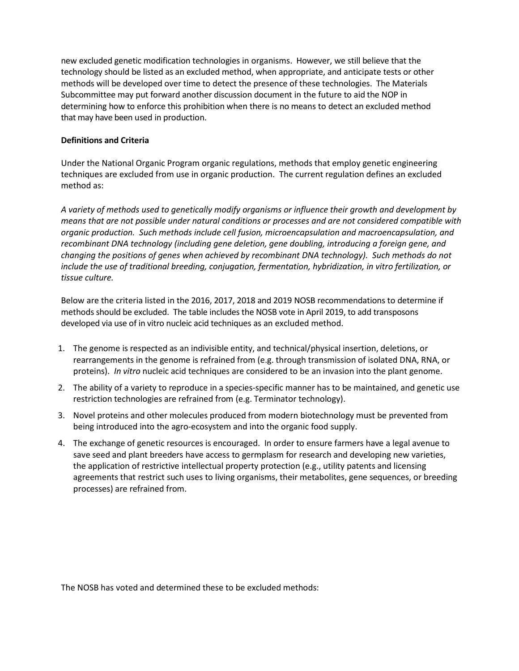new excluded genetic modification technologies in organisms. However, we still believe that the technology should be listed as an excluded method, when appropriate, and anticipate tests or other methods will be developed over time to detect the presence of these technologies. The Materials Subcommittee may put forward another discussion document in the future to aid the NOP in determining how to enforce this prohibition when there is no means to detect an excluded method that may have been used in production.

#### **Definitions and Criteria**

Under the National Organic Program organic regulations, methods that employ genetic engineering techniques are excluded from use in organic production. The current regulation defines an excluded method as:

*A variety of methods used to genetically modify organisms or influence their growth and development by means that are not possible under natural conditions or processes and are not considered compatible with organic production. Such methods include cell fusion, microencapsulation and macroencapsulation, and recombinant DNA technology (including gene deletion, gene doubling, introducing a foreign gene, and changing the positions of genes when achieved by recombinant DNA technology). Such methods do not include the use of traditional breeding, conjugation, fermentation, hybridization, in vitro fertilization, or tissue culture.* 

Below are the criteria listed in the 2016, 2017, 2018 and 2019 NOSB recommendations to determine if methods should be excluded. The table includes the NOSB vote in April 2019, to add transposons developed via use of in vitro nucleic acid techniques as an excluded method.

- 1. The genome is respected as an indivisible entity, and technical/physical insertion, deletions, or rearrangements in the genome is refrained from (e.g. through transmission of isolated DNA, RNA, or proteins). *In vitro* nucleic acid techniques are considered to be an invasion into the plant genome.
- 2. The ability of a variety to reproduce in a species-specific manner has to be maintained, and genetic use restriction technologies are refrained from (e.g. Terminator technology).
- 3. Novel proteins and other molecules produced from modern biotechnology must be prevented from being introduced into the agro-ecosystem and into the organic food supply.
- 4. The exchange of genetic resources is encouraged. In order to ensure farmers have a legal avenue to save seed and plant breeders have access to germplasm for research and developing new varieties, the application of restrictive intellectual property protection (e.g., utility patents and licensing agreements that restrict such uses to living organisms, their metabolites, gene sequences, or breeding processes) are refrained from.

The NOSB has voted and determined these to be excluded methods: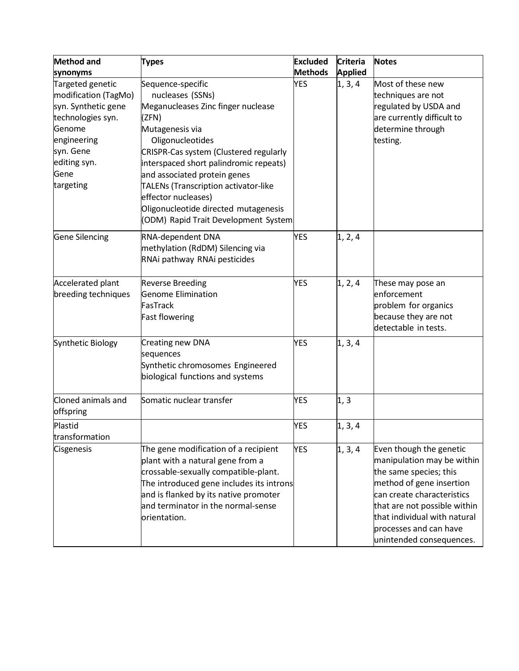| <b>Method and</b>                                                                                                                                               | <b>Types</b>                                                                                                                                                                                                                                                                                                                                                                                   | <b>Excluded</b> | <b>Criteria</b> | <b>Notes</b>                                                                                                                                                                                                                                                    |
|-----------------------------------------------------------------------------------------------------------------------------------------------------------------|------------------------------------------------------------------------------------------------------------------------------------------------------------------------------------------------------------------------------------------------------------------------------------------------------------------------------------------------------------------------------------------------|-----------------|-----------------|-----------------------------------------------------------------------------------------------------------------------------------------------------------------------------------------------------------------------------------------------------------------|
| synonyms                                                                                                                                                        |                                                                                                                                                                                                                                                                                                                                                                                                | <b>Methods</b>  | <b>Applied</b>  |                                                                                                                                                                                                                                                                 |
| Targeted genetic<br>modification (TagMo)<br>syn. Synthetic gene<br>technologies syn.<br>Genome<br>engineering<br>syn. Gene<br>editing syn.<br>Gene<br>targeting | Sequence-specific<br>nucleases (SSNs)<br>Meganucleases Zinc finger nuclease<br>(ZFN)<br>Mutagenesis via<br>Oligonucleotides<br>CRISPR-Cas system (Clustered regularly<br>interspaced short palindromic repeats)<br>and associated protein genes<br>TALENs (Transcription activator-like<br>effector nucleases)<br>Oligonucleotide directed mutagenesis<br>(ODM) Rapid Trait Development System | <b>YES</b>      | 1, 3, 4         | Most of these new<br>techniques are not<br>regulated by USDA and<br>are currently difficult to<br>determine through<br>testing.                                                                                                                                 |
| <b>Gene Silencing</b>                                                                                                                                           | RNA-dependent DNA<br>methylation (RdDM) Silencing via<br>RNAi pathway RNAi pesticides                                                                                                                                                                                                                                                                                                          | <b>YES</b>      | 1, 2, 4         |                                                                                                                                                                                                                                                                 |
| Accelerated plant<br>breeding techniques                                                                                                                        | <b>Reverse Breeding</b><br><b>Genome Elimination</b><br>FasTrack<br><b>Fast flowering</b>                                                                                                                                                                                                                                                                                                      | <b>YES</b>      | 1, 2, 4         | These may pose an<br>enforcement<br>problem for organics<br>because they are not<br>detectable in tests.                                                                                                                                                        |
| Synthetic Biology                                                                                                                                               | Creating new DNA<br>sequences<br>Synthetic chromosomes Engineered<br>biological functions and systems                                                                                                                                                                                                                                                                                          | <b>YES</b>      | 1, 3, 4         |                                                                                                                                                                                                                                                                 |
| Cloned animals and<br>offspring                                                                                                                                 | Somatic nuclear transfer                                                                                                                                                                                                                                                                                                                                                                       | <b>YES</b>      | 1, 3            |                                                                                                                                                                                                                                                                 |
| Plastid<br>transformation                                                                                                                                       |                                                                                                                                                                                                                                                                                                                                                                                                | <b>YES</b>      | 1, 3, 4         |                                                                                                                                                                                                                                                                 |
| Cisgenesis                                                                                                                                                      | The gene modification of a recipient<br>plant with a natural gene from a<br>crossable-sexually compatible-plant.<br>The introduced gene includes its introns<br>and is flanked by its native promoter<br>and terminator in the normal-sense<br>orientation.                                                                                                                                    | <b>YES</b>      | 1, 3, 4         | Even though the genetic<br>manipulation may be within<br>the same species; this<br>method of gene insertion<br>can create characteristics<br>that are not possible within<br>that individual with natural<br>processes and can have<br>unintended consequences. |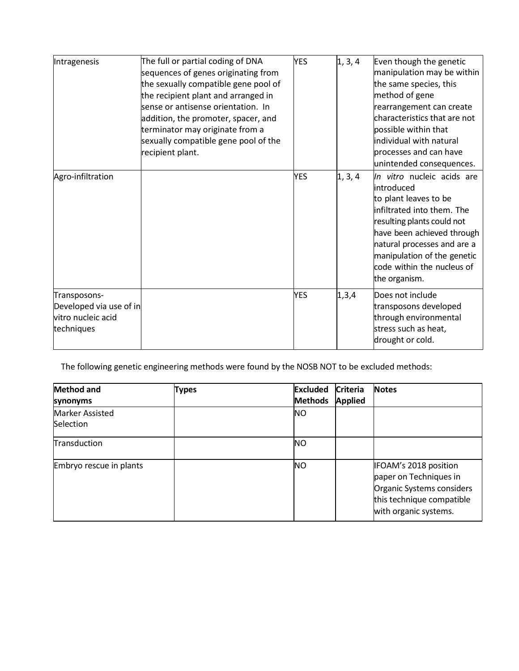| Intragenesis                                                                | The full or partial coding of DNA<br>sequences of genes originating from<br>the sexually compatible gene pool of<br>the recipient plant and arranged in<br>sense or antisense orientation. In<br>addition, the promoter, spacer, and<br>terminator may originate from a<br>sexually compatible gene pool of the<br>recipient plant. | <b>YES</b> | 1, 3, 4 | Even though the genetic<br>manipulation may be within<br>the same species, this<br>method of gene<br>rearrangement can create<br>characteristics that are not<br>possible within that<br>individual with natural<br>processes and can have<br>unintended consequences.   |
|-----------------------------------------------------------------------------|-------------------------------------------------------------------------------------------------------------------------------------------------------------------------------------------------------------------------------------------------------------------------------------------------------------------------------------|------------|---------|--------------------------------------------------------------------------------------------------------------------------------------------------------------------------------------------------------------------------------------------------------------------------|
| Agro-infiltration                                                           |                                                                                                                                                                                                                                                                                                                                     | <b>YES</b> | 1, 3, 4 | In vitro nucleic acids are<br>introduced<br>to plant leaves to be<br>infiltrated into them. The<br>resulting plants could not<br>have been achieved through<br>natural processes and are a<br>manipulation of the genetic<br>code within the nucleus of<br>the organism. |
| Transposons-<br>Developed via use of in<br>vitro nucleic acid<br>techniques |                                                                                                                                                                                                                                                                                                                                     | <b>YES</b> | 1,3,4   | Does not include<br>transposons developed<br>through environmental<br>stress such as heat,<br>drought or cold.                                                                                                                                                           |

The following genetic engineering methods were found by the NOSB NOT to be excluded methods:

| <b>Method and</b><br>synonyms              | <b>Types</b> | <b>Excluded</b><br><b>Methods</b> | <b>Criteria</b><br><b>Applied</b> | <b>Notes</b>                                                                                                                       |
|--------------------------------------------|--------------|-----------------------------------|-----------------------------------|------------------------------------------------------------------------------------------------------------------------------------|
| <b>Marker Assisted</b><br><b>Selection</b> |              | <b>NO</b>                         |                                   |                                                                                                                                    |
| Transduction                               |              | <b>NO</b>                         |                                   |                                                                                                                                    |
| Embryo rescue in plants                    |              | <b>NO</b>                         |                                   | IFOAM's 2018 position<br>paper on Techniques in<br>Organic Systems considers<br>this technique compatible<br>with organic systems. |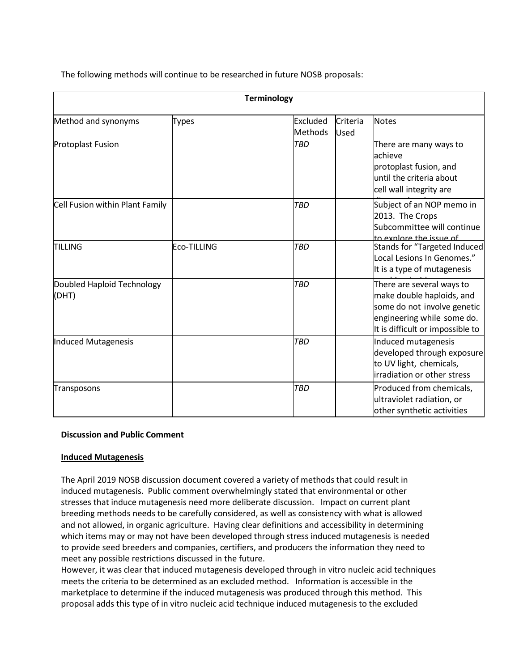The following methods will continue to be researched in future NOSB proposals:

| <b>Terminology</b>                  |              |                     |                  |                                                                                                                                                         |
|-------------------------------------|--------------|---------------------|------------------|---------------------------------------------------------------------------------------------------------------------------------------------------------|
| Method and synonyms                 | <b>Types</b> | Excluded<br>Methods | Criteria<br>Used | <b>Notes</b>                                                                                                                                            |
| <b>Protoplast Fusion</b>            |              | <b>TBD</b>          |                  | There are many ways to<br>achieve<br>protoplast fusion, and<br>until the criteria about<br>cell wall integrity are                                      |
| Cell Fusion within Plant Family     |              | <b>TBD</b>          |                  | Subject of an NOP memo in<br>2013. The Crops<br>Subcommittee will continue<br>to explore the issue of                                                   |
| <b>TILLING</b>                      | Eco-TILLING  | <b>TBD</b>          |                  | <b>Stands for "Targeted Induced</b><br>Local Lesions In Genomes."<br>It is a type of mutagenesis                                                        |
| Doubled Haploid Technology<br>(DHT) |              | <b>TBD</b>          |                  | There are several ways to<br>make double haploids, and<br>some do not involve genetic<br>engineering while some do.<br>It is difficult or impossible to |
| Induced Mutagenesis                 |              | <b>TBD</b>          |                  | Induced mutagenesis<br>developed through exposure<br>to UV light, chemicals,<br>irradiation or other stress                                             |
| Transposons                         |              | <b>TBD</b>          |                  | Produced from chemicals,<br>ultraviolet radiation, or<br>other synthetic activities                                                                     |

#### **Discussion and Public Comment**

#### **Induced Mutagenesis**

The April 2019 NOSB discussion document covered a variety of methods that could result in induced mutagenesis. Public comment overwhelmingly stated that environmental or other stresses that induce mutagenesis need more deliberate discussion. Impact on current plant breeding methods needs to be carefully considered, as well as consistency with what is allowed and not allowed, in organic agriculture. Having clear definitions and accessibility in determining which items may or may not have been developed through stress induced mutagenesis is needed to provide seed breeders and companies, certifiers, and producers the information they need to meet any possible restrictions discussed in the future.

However, it was clear that induced mutagenesis developed through in vitro nucleic acid techniques meets the criteria to be determined as an excluded method. Information is accessible in the marketplace to determine if the induced mutagenesis was produced through this method. This proposal adds this type of in vitro nucleic acid technique induced mutagenesis to the excluded